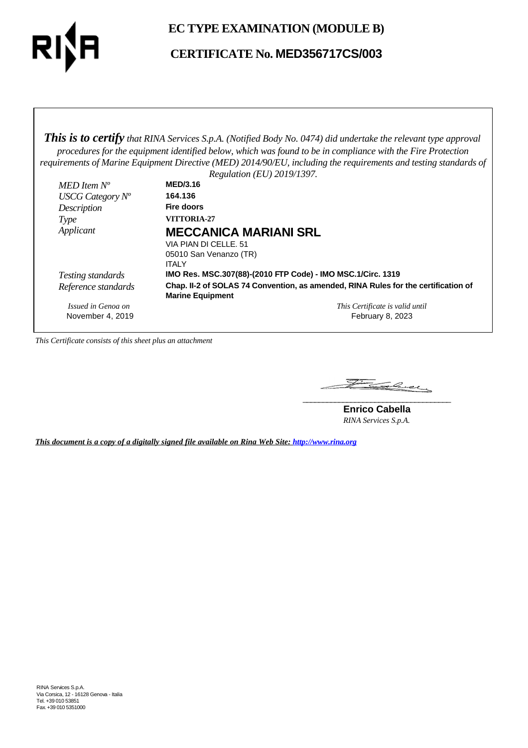

# **EC TYPE EXAMINATION (MODULE B)**

# **CERTIFICATE No. MED356717CS/003**

*This is to certify that RINA Services S.p.A. (Notified Body No. 0474) did undertake the relevant type approval procedures for the equipment identified below, which was found to be in compliance with the Fire Protection requirements of Marine Equipment Directive (MED) 2014/90/EU, including the requirements and testing standards of*

|                     | Regulation (EU) 2019/1397.                                                                                    |
|---------------------|---------------------------------------------------------------------------------------------------------------|
| MED Item $N^o$      | <b>MED/3.16</b>                                                                                               |
| USCG Category $N^o$ | 164.136                                                                                                       |
| Description         | Fire doors                                                                                                    |
| Type                | <b>VITTORIA-27</b>                                                                                            |
| Applicant           | <b>MECCANICA MARIANI SRL</b>                                                                                  |
|                     | VIA PIAN DI CELLE, 51                                                                                         |
|                     | 05010 San Venanzo (TR)                                                                                        |
|                     | <b>ITALY</b>                                                                                                  |
| Testing standards   | IMO Res. MSC.307(88)-(2010 FTP Code) - IMO MSC.1/Circ. 1319                                                   |
| Reference standards | Chap. II-2 of SOLAS 74 Convention, as amended, RINA Rules for the certification of<br><b>Marine Equipment</b> |
| Issued in Genoa on  | This Certificate is valid until                                                                               |
| November 4, 2019    | February 8, 2023                                                                                              |

*This Certificate consists of this sheet plus an attachment*

Family Come **\_\_\_\_\_\_\_\_\_\_\_\_\_\_\_\_\_\_\_\_\_\_\_\_\_\_\_\_\_\_\_\_\_\_\_\_\_**

**Enrico Cabella** *RINA Services S.p.A.*

*This document is a copy of a digitally signed file available on Rina Web Site: http://www.rina.org*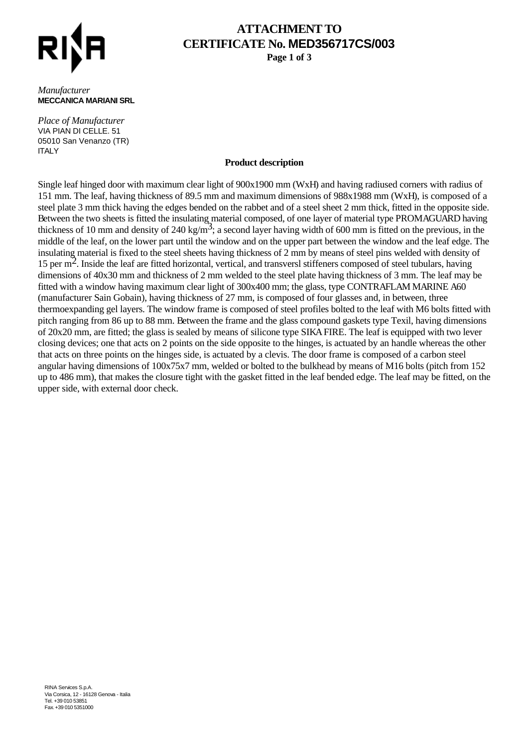

# **ATTACHMENT TO CERTIFICATE No. MED356717CS/003**

**Page 1 of 3**

#### *Manufacturer* **MECCANICA MARIANI SRL**

*Place of Manufacturer* VIA PIAN DI CELLE. 51 05010 San Venanzo (TR) **ITALY** 

### **Product description**

Single leaf hinged door with maximum clear light of 900x1900 mm (WxH) and having radiused corners with radius of 151 mm. The leaf, having thickness of 89.5 mm and maximum dimensions of 988x1988 mm (WxH), is composed of a steel plate 3 mm thick having the edges bended on the rabbet and of a steel sheet 2 mm thick, fitted in the opposite side. Between the two sheets is fitted the insulating material composed, of one layer of material type PROMAGUARD having thickness of 10 mm and density of 240 kg/m<sup>3</sup>; a second layer having width of 600 mm is fitted on the previous, in the middle of the leaf, on the lower part until the window and on the upper part between the window and the leaf edge. The insulating material is fixed to the steel sheets having thickness of 2 mm by means of steel pins welded with density of 15 per  $m<sup>2</sup>$ . Inside the leaf are fitted horizontal, vertical, and transversl stiffeners composed of steel tubulars, having dimensions of 40x30 mm and thickness of 2 mm welded to the steel plate having thickness of 3 mm. The leaf may be fitted with a window having maximum clear light of 300x400 mm; the glass, type CONTRAFLAM MARINE A60 (manufacturer Sain Gobain), having thickness of 27 mm, is composed of four glasses and, in between, three thermoexpanding gel layers. The window frame is composed of steel profiles bolted to the leaf with M6 bolts fitted with pitch ranging from 86 up to 88 mm. Between the frame and the glass compound gaskets type Texil, having dimensions of 20x20 mm, are fitted; the glass is sealed by means of silicone type SIKA FIRE. The leaf is equipped with two lever closing devices; one that acts on 2 points on the side opposite to the hinges, is actuated by an handle whereas the other that acts on three points on the hinges side, is actuated by a clevis. The door frame is composed of a carbon steel angular having dimensions of 100x75x7 mm, welded or bolted to the bulkhead by means of M16 bolts (pitch from 152 up to 486 mm), that makes the closure tight with the gasket fitted in the leaf bended edge. The leaf may be fitted, on the upper side, with external door check.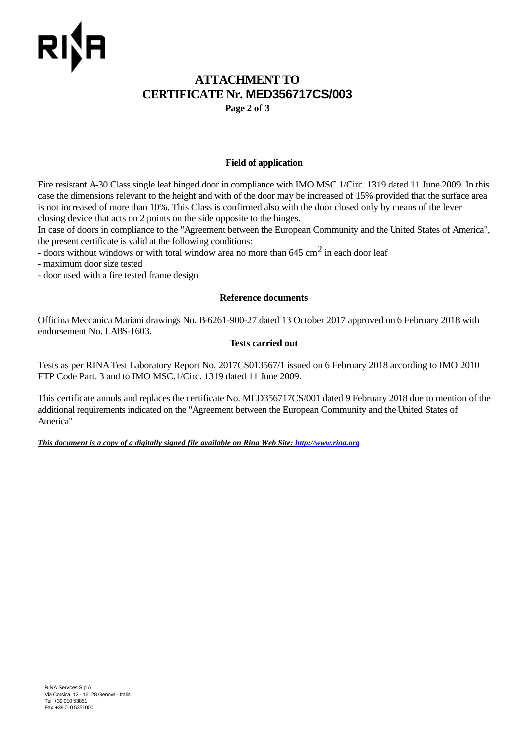# **ATTACHMENT TO CERTIFICATE Nr. MED356717CS/003**

**Page 2 of 3**

## **Field of application**

Fire resistant A-30 Class single leaf hinged door in compliance with IMO MSC.1/Circ. 1319 dated 11 June 2009. In this case the dimensions relevant to the height and with of the door may be increased of 15% provided that the surface area is not increased of more than 10%. This Class is confirmed also with the door closed only by means of the lever closing device that acts on 2 points on the side opposite to the hinges.

In case of doors in compliance to the "Agreement between the European Community and the United States of America", the present certificate is valid at the following conditions:

- doors without windows or with total window area no more than  $645 \text{ cm}^2$  in each door leaf

- maximum door size tested
- door used with a fire tested frame design

## **Reference documents**

Officina Meccanica Mariani drawings No. B-6261-900-27 dated 13 October 2017 approved on 6 February 2018 with endorsement No. LABS-1603.

## **Tests carried out**

Tests as per RINA Test Laboratory Report No. 2017CS013567/1 issued on 6 February 2018 according to IMO 2010 FTP Code Part. 3 and to IMO MSC.1/Circ. 1319 dated 11 June 2009.

This certificate annuls and replaces the certificate No. MED356717CS/001 dated 9 February 2018 due to mention of the additional requirements indicated on the "Agreement between the European Community and the United States of America"

*This document is a copy of a digitally signed file available on Rina Web Site: http://www.rina.org*